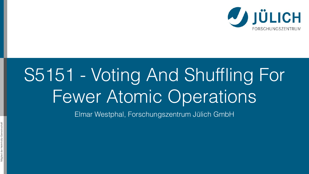## S5151 - Voting And Shuffling For Fewer Atomic Operations Elmar Westphal, Forschungszentrum Jülich GmbH

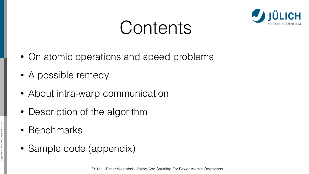## Contents

- On atomic operations and speed problems
- A possible remedy
- About intra-warp communication
- Description of the algorithm
- Benchmarks
- Sample code (appendix)

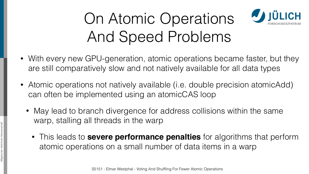

## **USA JÜLICH** On Atomic Operations And Speed Problems







- With every new GPU-generation, atomic operations became faster, but they are still comparatively slow and not natively available for all data types
- Atomic operations not natively available (i.e. double precision atomicAdd) can often be implemented using an atomicCAS loop
	- May lead to branch divergence for address collisions within the same warp, stalling all threads in the warp
		- This leads to **severe performance penalties** for algorithms that perform atomic operations on a small number of data items in a warp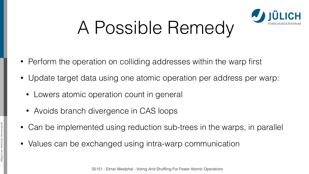

# A Possible Remedy

- Perform the operation on colliding addresses within the warp first
- Update target data using one atomic operation per address per warp:
	- Lowers atomic operation count in general
	- Avoids branch divergence in CAS loops
- Can be implemented using reduction sub-trees in the warps, in parallel
- Values can be exchanged using intra-warp communication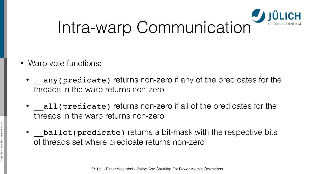



- Warp vote functions:
	- any(predicate) returns non-zero if any of the predicates for the threads in the warp returns non-zero
	- all(predicate) returns non-zero if all of the predicates for the threads in the warp returns non-zero
	- ballot (predicate) returns a bit-mask with the respective bits of threads set where predicate returns non-zero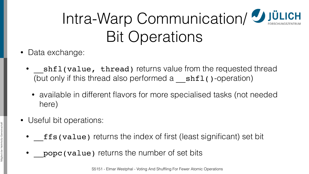

## Intra-Warp Communication/ JULICH Bit Operations

- Data exchange:
	- (but only if this thread also performed  $a$   $\mathbf{shtl}$  ()-operation)
		- here)
- Useful bit operations:
	-
	- popc (value) returns the number of set bits

shfl(value, thread) returns value from the requested thread

• available in different flavors for more specialised tasks (not needed

ffs(value) returns the index of first (least significant) set bit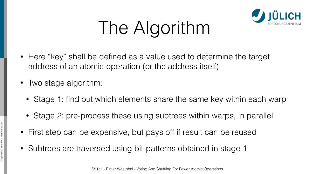

# The Algorithm

- Here "key" shall be defined as a value used to determine the target address of an atomic operation (or the address itself)
- Two stage algorithm:
	- Stage 1: find out which elements share the same key within each warp
	- Stage 2: pre-process these using subtrees within warps, in parallel
- First step can be expensive, but pays off if result can be reused
- Subtrees are traversed using bit-patterns obtained in stage 1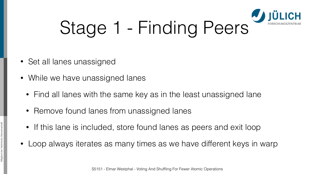



- Set all lanes unassigned
- While we have unassigned lanes
	- Find all lanes with the same key as in the least unassigned lane
	- Remove found lanes from unassigned lanes
	- If this lane is included, store found lanes as peers and exit loop
- Loop always iterates as many times as we have different keys in warp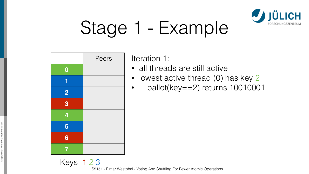

## Stage 1 - Example

• lowest active thread (0) has key 2

• *Leallot*(key = = 2) returns 10010001

Keys: 1 2 3

Iteration 1:

• all threads are still active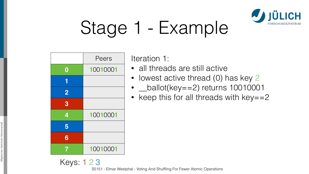

## Stage 1 - Example

ration 1:

all threads are still active

| Peers    | Ite |
|----------|-----|
| 10010001 |     |
|          |     |
|          |     |
|          |     |
| 10010001 |     |
|          |     |
|          |     |
| 10010001 |     |
|          |     |

Keys: 1 2 3

• lowest active thread (0) has key 2

 $_b$ ballot(key==2) returns 10010001

keep this for all threads with  $key == 2$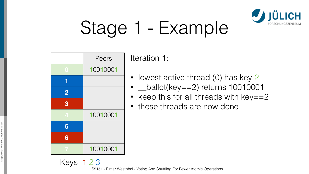

## Stage 1 - Example

ation 1:

 $\alpha$  owest active thread (0) has key 2 • \_\_ballot(key==2) returns 10010001 eep this for all threads with  $key==2$ hese threads are now done

|          | Peers    | Itera          |
|----------|----------|----------------|
|          | 10010001 |                |
|          |          | $\overline{C}$ |
| $\bf{2}$ |          | $\bigwedge$    |
| 8        |          | $\mathfrak{t}$ |
|          | 10010001 |                |
|          |          |                |
| 6        |          |                |
|          | 10010001 |                |

Keys: 1 2 3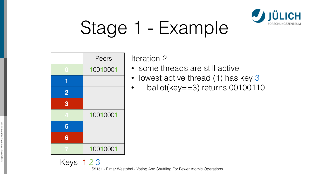- some threads are still active
- lowest active thread (1) has key 3
- *Leallot*(key = = 3) returns 00100110

## Stage 1 - Example

|                | Peers    |  |  |  |  |
|----------------|----------|--|--|--|--|
|                | 10010001 |  |  |  |  |
|                |          |  |  |  |  |
| $\overline{2}$ |          |  |  |  |  |
| 3              |          |  |  |  |  |
|                | 10010001 |  |  |  |  |
|                |          |  |  |  |  |
| 6              |          |  |  |  |  |
|                | 10010001 |  |  |  |  |

Keys: 1 2 3



Iteration 2: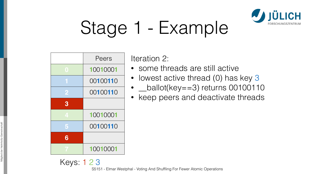## Stage 1 - Example

eration 2:

|   | Peers    | l†∈ |
|---|----------|-----|
|   | 10010001 |     |
|   | 00100110 |     |
|   | 00100110 |     |
| 3 |          |     |
|   | 10010001 |     |
|   | 00100110 |     |
| 6 |          |     |
|   | 10010001 |     |

- some threads are still active
- lowest active thread (0) has key 3
- \_\_ballot(key==3) returns 00100110
- keep peers and deactivate threads

Keys: 1 2 3

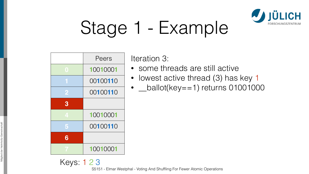## Stage 1 - Example

- lowest active thread (3) has key 1
- *\_ballot(key==1)* returns 01001000

|   | Peers    |  |  |  |
|---|----------|--|--|--|
|   | 10010001 |  |  |  |
|   | 00100110 |  |  |  |
|   | 00100110 |  |  |  |
| 3 |          |  |  |  |
|   | 10010001 |  |  |  |
|   | 00100110 |  |  |  |
| 6 |          |  |  |  |
|   | 10010001 |  |  |  |

Keys: 1 2 3

Iteration 3:

• some threads are still active

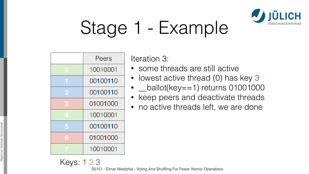

## Stage 1 - Example

Iteration 3:<br>• some threads are still active<br>• lowest active thread (0) has key 3

|              | Peers    | ╟╋ |
|--------------|----------|----|
|              | 10010001 |    |
|              | 00100110 |    |
|              | 00100110 |    |
| $\mathbf{R}$ | 01001000 |    |
|              | 10010001 |    |
|              | 00100110 |    |
| 6            | 01001000 |    |
|              | 10010001 |    |

Keys: 1 2 3

• \_\_ballot(key==1) returns 01001000 • keep peers and deactivate threads • no active threads left, we are done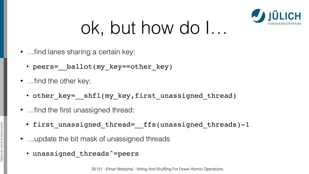- …find lanes sharing a certain key:
	- peers= ballot(my key==other key)
- …find the other key:
	- other\_key=\_ shfl(my key,first unassigned thread)
- …find the first unassigned thread:
	- first unassigned thread= ffs(unassigned threads)-1
- …update the bit mask of unassigned threads
	- unassigned threads^=peers



# ok, but how do I…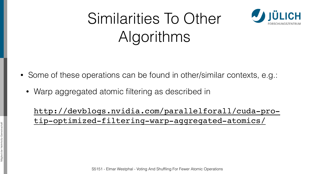## Similarities To Other Algorithms

- Some of these operations can be found in other/similar contexts, e.g.:
	- Warp aggregated atomic filtering as described in



[http://devblogs.nvidia.com/parallelforall/cuda-pro](http://devblogs.nvidia.com/parallelforall/cuda-pro-tip-optimized-filtering-warp-aggregated-atomics/)tip-optimized-filtering-warp-aggregated-atomics/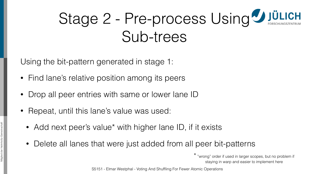

## Stage 2 - Pre-process Using Jülich Sub-trees

Using the bit-pattern generated in stage 1:

- Find lane's relative position among its peers
- Drop all peer entries with same or lower lane ID
- Repeat, until this lane's value was used:
	- Add next peer's value\* with higher lane ID, if it exists
	- Delete all lanes that were just added from all peer bit-patterns

\* "wrong" order if used in larger scopes, but no problem if staying in warp and easier to implement here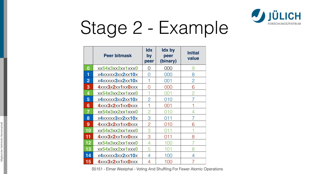

## Stage 2 - Example

|                  | <b>Peer bitmask</b>                 | <b>Idx</b><br>by<br>peer | <b>Idx by</b><br>peer<br>(binary) | <b>Initial</b><br>value |
|------------------|-------------------------------------|--------------------------|-----------------------------------|-------------------------|
| $\boldsymbol{0}$ | xx54x3xx2xx1xxx0                    |                          | 000                               |                         |
| 1                | x4xxxxx3xx2xx10x                    |                          | 000                               | 8                       |
| $\overline{2}$   | x4xxxxx3xx2xx10x                    |                          | 001                               | $\overline{2}$          |
| 3                | $4$ xxx $3$ x $2$ xx $1$ xx $0$ xxx |                          | 000                               |                         |
| 4                | xx54x3xx2xx1xxx0                    |                          | 001                               |                         |
| 5                | x4xxxxx3xx2xx10x                    | $\overline{2}$           | 010                               |                         |
| 6                | 4xxx3x2xx1xx0xxx                    |                          | 001                               |                         |
| 7                | xx54x3xx2xx1xxx0                    | $\overline{2}$           | 010                               |                         |
| 8                | x4xxxxx3xx2xx10x                    | $\bm{\cup}$              | 011                               |                         |
| 9                | $4$ xxx $3$ x $2$ xx $1$ xx $0$ xxx | $\overline{2}$           | 010                               |                         |
| 10               | xx54x3xx2xx1xxx0                    | З                        | ()11                              |                         |
| 11               | $4$ xxx $3$ x $2$ xx $1$ xx $0$ xxx | 3                        | 011                               | 8                       |
| 12 <sub>1</sub>  | xx54x3xx2xx1xxx0                    | 4                        | 100                               |                         |
| 13               | xx54x3xx2xx1xxx0                    | 5                        | 101                               |                         |
| 14               | x4xxxxx3xx2xx10x                    | 4                        | 100                               |                         |
| 15               | 4xxx3x2xx1xx0xxx                    | 4                        | 100                               |                         |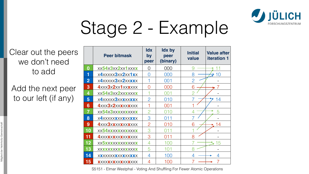

## Stage 2 - Example

|                  | <b>Peer bitmask</b>               | <b>Idx</b><br>by<br>peer | <b>Idx by</b><br>peer<br>(binary) | <b>Initial</b><br>value | <b>Value after</b><br><b>iteration 1</b> |
|------------------|-----------------------------------|--------------------------|-----------------------------------|-------------------------|------------------------------------------|
| $\boldsymbol{0}$ | xx54x3xx2xx1xxxx                  |                          | 000                               |                         |                                          |
|                  | x4xxxxx3xx2xx1xx                  |                          | 000                               |                         | 10                                       |
| $\overline{2}$   | x4xxxxx3xx2xxxxx                  |                          | 001                               |                         |                                          |
| $\boldsymbol{3}$ | 4xxx3x2xx1xxxxxx                  |                          | 000                               | 6                       |                                          |
| 4                | xx54x3xx2xxxxxxx                  |                          | 001                               |                         |                                          |
| 5                | x4xxxxx3xxxxxxxx                  | $\mathcal{P}$            | 010                               |                         | 14                                       |
| 6                | <b>4xxx3x2xxxxxxxxx</b>           |                          | 001                               |                         |                                          |
| 7                | xx54x3xxxxxxxxxx                  |                          | 010                               |                         | 5                                        |
| 8                | x4xxxxxxxxxxxxxxx                 | 3                        | 011                               |                         |                                          |
| 9                | <b>4xxx3xxxxxxxxxxx</b>           | $\overline{C}$           | 010                               | 6                       | 14                                       |
| 10               | XX54XXXXXXXXXXXX                  | 3                        | 011                               |                         |                                          |
| 11               | <b>4xxxxxxxxxxxxxxx</b>           | 3                        | 011                               | 8                       |                                          |
| 12 <sub>2</sub>  | <b>XX5XXXXXXXXXXXXX</b>           |                          | 100                               |                         | 15                                       |
| 13               | <b>XXXXXXXXXXXXXXX</b>            |                          | 101                               |                         |                                          |
| 14               | <b>XXXXXXXXXXXXXXX</b>            |                          | 100                               |                         |                                          |
| 15               | <b>X</b> XXX <b>XXXXXXXXX</b> XXX |                          | 100                               |                         |                                          |

## Clear out the peers we don't need to add

## Add the next peer to our left (if any)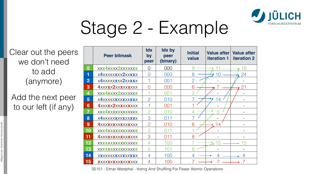

## Stage 2 - Example

|                         | <b>Peer bitmask</b>               | <b>Idx</b><br>by<br>peer | <b>Idx by</b><br>peer<br>(binary) | <b>Initial</b><br>value  | <b>Value after</b><br><b>iteration 1</b> | <b>Value after</b><br><b>iteration 2</b> |
|-------------------------|-----------------------------------|--------------------------|-----------------------------------|--------------------------|------------------------------------------|------------------------------------------|
| $\bf{0}$                | <b>XXX4XXXX2XXXXXXX</b>           |                          | 000                               |                          |                                          | 16                                       |
|                         | x4xxxxxxxxx2xxxxx                 | $\bigcap$                | 000                               | 8                        |                                          | 24                                       |
| $\mathbf{2}$            | x4xxxxxxxxx2xxxxx                 |                          | 001                               |                          |                                          |                                          |
| 3                       | <b>4xxxxx2xxxxxxxxx</b>           |                          | 000                               | 6                        |                                          | 21                                       |
| $\overline{\mathbf{4}}$ | <b>XXX4XXXX2XXXXXXX</b>           |                          | 001                               |                          |                                          |                                          |
| $5\overline{)}$         | x4xxxxxxxxxxxxxx                  | $\mathcal{P}$            | 010                               |                          | 14                                       |                                          |
| 6                       | <b>4xxxxx2xxxxxxxxx</b>           |                          | 001                               |                          |                                          |                                          |
|                         | <b>XXX4XXXXXXXXXXXX</b>           | $\mathcal{P}$            | 010                               |                          | 5                                        |                                          |
| 8                       | x4xxxxxxxxxxxxxxx                 | 3                        | 011                               | $\overline{\phantom{a}}$ |                                          |                                          |
| 9                       |                                   | $\overline{2}$           | 010                               | 6                        | $\overline{4}$                           |                                          |
| 10                      | <b>XXX4XXXXXXXXXXXX</b>           | 3                        | 011                               |                          |                                          |                                          |
| 11                      | <b>4XXXXXXXXXXXXXXX</b>           | 3                        | 011                               | 8                        |                                          |                                          |
| 12                      | XXXXXXXXXXXXXXXX                  |                          | 100                               |                          | $\sim$ 15                                | 15                                       |
| 13                      | <b>XXXXXXXXXXXXXXXX</b>           | 5                        | 101                               |                          |                                          |                                          |
| 14                      | <b>XXXXXXXXXXXXXXX</b>            | 4                        | 100                               |                          |                                          |                                          |
| 15                      | <b>X</b> XXX <b>XXXXXXXXX</b> XXX | 4                        | 100                               |                          |                                          |                                          |

## Clear out the peers we don't need to add (anymore)

Add the next peer to our left (if any)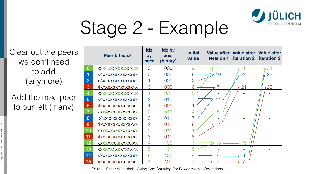

## Stage 2 - Example

|                | <b>Peer bitmask</b>               | <b>Idx</b><br>by<br>peer | <b>Idx by</b><br>peer<br>(binary) | <b>Initial</b><br>value  | <b>iteration 1</b> | Value after   Value after  <br><b>iteration 2</b> | <b>Value after</b><br><b>iteration 3</b> |
|----------------|-----------------------------------|--------------------------|-----------------------------------|--------------------------|--------------------|---------------------------------------------------|------------------------------------------|
| $\bf{0}$       | <b>XXX4XXXXXXXXXXXX</b>           | $\bigcirc$               | 000                               |                          |                    | 6                                                 | 31                                       |
| 1              | x4xxxxxxxxxxxxxx                  | $\rm O$                  | 000                               | 8                        |                    | 24                                                | 28                                       |
| $\overline{2}$ | x4xxxxxxxxxxxxxx                  |                          | 001                               | $\bigcirc$               |                    |                                                   |                                          |
| 3              |                                   | $\bigcirc$               | 000                               | 6                        |                    | 21                                                | 28                                       |
| 4              | <b>XXX4XXXXXXXXXXXX</b>           |                          | 001                               |                          |                    |                                                   |                                          |
| 5              | x4xxxxxxxxxxxxxx                  | $\overline{2}$           | 010                               |                          | 14                 |                                                   |                                          |
| 6              |                                   |                          | 001                               |                          |                    |                                                   |                                          |
|                | <b>XXX4XXXXXXXXXXXX</b>           |                          | 010                               |                          | 5                  |                                                   |                                          |
| 8              | x4xxxxxxxxxxxxxx                  | 3                        | 011                               | $\overline{\phantom{a}}$ |                    |                                                   |                                          |
| 9              | <b>4xxxxxxxxxxxxxxx</b>           | $\overline{2}$           | 010                               | 6                        |                    |                                                   |                                          |
| <b>10</b>      | <b>XXX4XXXXXXXXXXXX</b>           | З                        |                                   |                          |                    |                                                   |                                          |
| 11             | <b>4</b> XXX <b>XXXXXXXXX</b> XXX | 3                        | 011                               | 8                        |                    |                                                   |                                          |
| 12             | XXXXXXXXXXXXXXXX                  |                          | 100                               |                          | 15                 | 15                                                |                                          |
| <b>13</b>      | XXXXXXXXXXXXXXXX                  | 5                        | 101                               |                          |                    |                                                   |                                          |
| 14             | <b>XXXXXXXXXXXXXXXX</b>           | 4                        | 100                               |                          |                    | 4                                                 |                                          |
| 15             | <b>X</b> XXX <b>XXXXXXXXX</b> XXX | 4                        | 100                               |                          |                    |                                                   |                                          |

## Clear out the peers we don't need to add (anymore)

Add the next peer to our left (if any)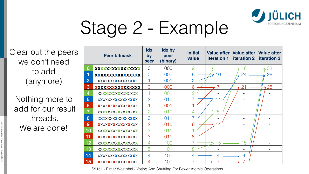

## Stage 2 - Example

Nothing more to add for our result threads. We are done!

|                                   | <b>Peer bitmask</b>               | <b>Idx</b><br>by<br>peer | <b>Idx by</b><br>peer<br>(binary) | <b>Initial</b><br>value  | <b>iteration 1</b> | Value after   Value after<br><b>iteration 2</b> | <b>Value after</b><br><b>iteration 3</b> |
|-----------------------------------|-----------------------------------|--------------------------|-----------------------------------|--------------------------|--------------------|-------------------------------------------------|------------------------------------------|
|                                   | XXXXXXXXXXXXXXXX                  | O                        | 000                               |                          |                    | 6                                               | 31                                       |
|                                   | XXXXXXXXXXXXXXXX                  | U                        | 000                               | 8                        |                    | 24                                              | 28                                       |
| $\mathbf{2}$                      | <b>XXXXXXXXXXXXXXXX</b>           |                          | 001                               | $\bigcirc$               |                    |                                                 |                                          |
| 3                                 | XXXXXXXXXXXXXXXXX                 | $\bigcirc$               | 000                               | 6                        |                    | 21                                              | 28                                       |
| 4                                 | XXXXXXXXXXXXXXXX                  |                          | 001                               |                          |                    |                                                 |                                          |
| 5                                 | <b>XXXXXXXXXXXXXXXX</b>           | $\overline{C}$           | 010                               |                          | 4                  |                                                 |                                          |
| 6                                 | <b>X</b> XXXXXXXXXXXXXXX          |                          | 001                               |                          | $\equiv$           |                                                 |                                          |
|                                   | XXXXXXXXXXXXXXXX                  |                          | 010                               |                          | 5                  |                                                 |                                          |
| 8                                 | <b>XXXXXXXXXXXXXXX</b>            | 3                        | 011                               | $\overline{\phantom{a}}$ |                    |                                                 |                                          |
| 9                                 | <b>X</b> XXX <b>XXXXXXXXX</b> XXX | $\mathcal{P}$            | 010                               | 6                        | 14                 |                                                 |                                          |
| 10                                | XXXXXXXXXXXXXXX                   | З                        | 011                               |                          |                    |                                                 |                                          |
| $\vert$ 11                        | <b>X</b> XXX <b>XXXXXXXXX</b> XXX | 3                        | 011                               | 8                        |                    |                                                 |                                          |
| $12$                              | XXXXXXXXXXXXXXXX                  |                          | 100                               |                          | 15                 | 15                                              |                                          |
| $\begin{array}{c} 13 \end{array}$ | XXXXXXXXXXXXXXXX                  | 5                        | 101                               |                          |                    |                                                 |                                          |
| $\begin{array}{c} 14 \end{array}$ | XXXXXXXXXXXXXXXX                  | 4                        | 100                               |                          |                    | 4                                               |                                          |
| 15                                | <b>X</b> XXX <b>XXXXXXXXX</b> XXX | 4                        | 100                               |                          |                    |                                                 |                                          |

## Clear out the peers we don't need to add (anymore)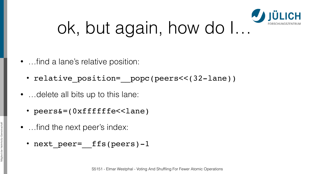- ... find a lane's relative position:
	- relative position= popc(peers<<(32-lane))
- …delete all bits up to this lane:
	- peers&=(0xffffffe<<lane)
- …find the next peer's index:
	- next peer= ffs(peers)-1

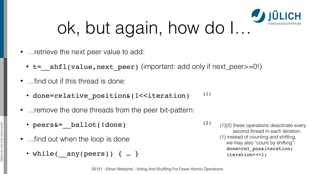- …retrieve the next peer value to add:
	- t= shfl(value, next peer) (important: add only if next peer>=0!)
- …find out if this thread is done:
	- done=relative  $position@(1< (1)$
- …remove the done threads from the peer bit-pattern:
	- peers&= ballot(!done) (2)
- ... find out when the loop is done
	- while( any(peers)) { … }





- 
- (1)(2) these operations deactivate every second thread in each iteration. (1) instead of counting and shifting, we may also "count by shifting": done=rel\_pos&iteration; iteration <<= 1;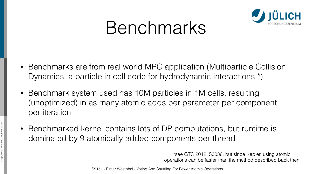

## Benchmarks

- Benchmarks are from real world MPC application (Multiparticle Collision Dynamics, a particle in cell code for hydrodynamic interactions \*)
- Benchmark system used has 10M particles in 1M cells, resulting (unoptimized) in as many atomic adds per parameter per component per iteration
- Benchmarked kernel contains lots of DP computations, but runtime is dominated by 9 atomically added components per thread



\*see GTC 2012, S0036, but since Kepler, using atomic operations can be faster than the method described back then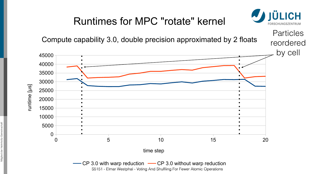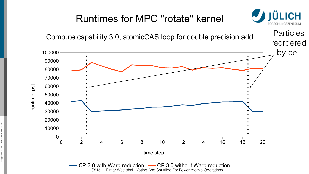S5151 - Elmar Westphal - Voting And Shuffling For Fewer Atomic Operations S5151 - Elmar Westphal - Voting And Shuffling For Fewer Atomic Operations $\leftarrow$  CP 3.0 with Warp reduction  $\leftarrow$  CP 3.0 without Warp reduction



 $\beth$  $\mathbf{\Omega}$ tim  $\bf \Phi$ لـــــــــا  $\beth$  $\boldsymbol{\mathcal{D}}$ <u>।</u><br>प्राच

 $\overline{\phantom{0}}$ 

## time step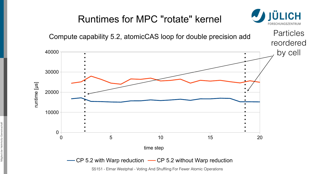

time step

## $\rightarrow$  CP 5.2 with Warp reduction  $\rightarrow$  CP 5.2 without Warp reduction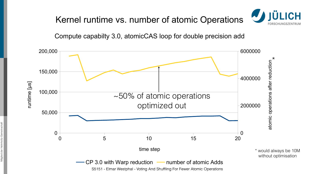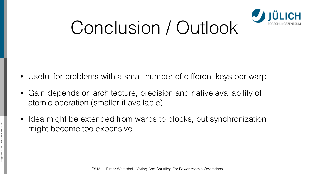# Conclusion / Outlook

- Useful for problems with a small number of different keys per warp
- Gain depends on architecture, precision and native availability of atomic operation (smaller if available)
- Idea might be extended from warps to blocks, but synchronization might become too expensive

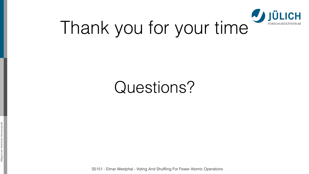Mitglied der Helmholtz-Gemeinschaft Mitglied der Heli



Questions?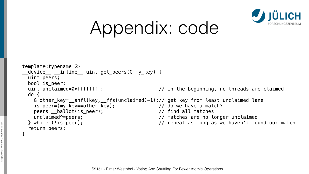```
template<typename G> 
 __device__ __inline__ uint get_peers(G my_key) { 
  uint peers; 
  bool is_peer; 
  do {
    is_peer=(my_key==other_key); // do we have a match?
    peers=__ballot(is_peer); // find all matches 
   return peers; 
}
```




# Appendix: code

uint unclaimed=0xffffffff; // in the beginning, no threads are claimed

G other\_key=\_\_shfl(key, \_\_ffs(unclaimed)-1);// get key from least unclaimed lane unclaimed^=peers; // matches are no longer unclaimed } while (!is\_peer); // repeat as long as we haven't found our match